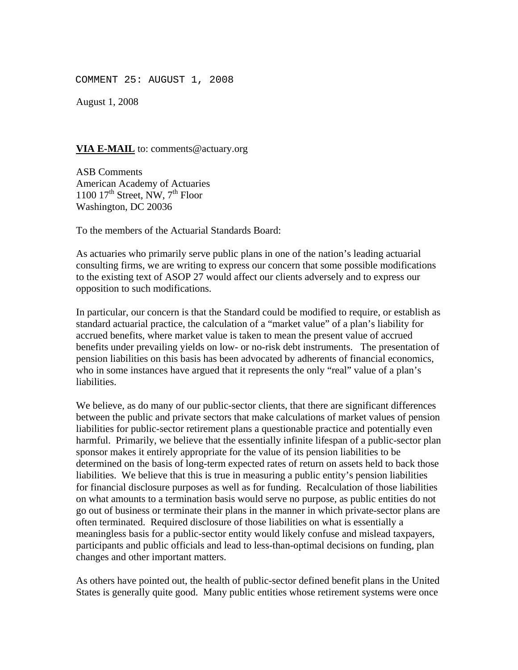COMMENT 25: AUGUST 1, 2008

August 1, 2008

## **VIA E-MAIL** to: comments@actuary.org

ASB Comments American Academy of Actuaries 1100  $17<sup>th</sup>$  Street, NW,  $7<sup>th</sup>$  Floor Washington, DC 20036

To the members of the Actuarial Standards Board:

As actuaries who primarily serve public plans in one of the nation's leading actuarial consulting firms, we are writing to express our concern that some possible modifications to the existing text of ASOP 27 would affect our clients adversely and to express our opposition to such modifications.

In particular, our concern is that the Standard could be modified to require, or establish as standard actuarial practice, the calculation of a "market value" of a plan's liability for accrued benefits, where market value is taken to mean the present value of accrued benefits under prevailing yields on low- or no-risk debt instruments. The presentation of pension liabilities on this basis has been advocated by adherents of financial economics, who in some instances have argued that it represents the only "real" value of a plan's liabilities.

We believe, as do many of our public-sector clients, that there are significant differences between the public and private sectors that make calculations of market values of pension liabilities for public-sector retirement plans a questionable practice and potentially even harmful. Primarily, we believe that the essentially infinite lifespan of a public-sector plan sponsor makes it entirely appropriate for the value of its pension liabilities to be determined on the basis of long-term expected rates of return on assets held to back those liabilities. We believe that this is true in measuring a public entity's pension liabilities for financial disclosure purposes as well as for funding. Recalculation of those liabilities on what amounts to a termination basis would serve no purpose, as public entities do not go out of business or terminate their plans in the manner in which private-sector plans are often terminated. Required disclosure of those liabilities on what is essentially a meaningless basis for a public-sector entity would likely confuse and mislead taxpayers, participants and public officials and lead to less-than-optimal decisions on funding, plan changes and other important matters.

As others have pointed out, the health of public-sector defined benefit plans in the United States is generally quite good. Many public entities whose retirement systems were once